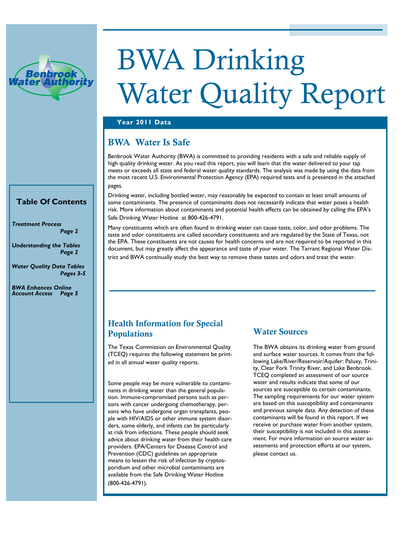

# BWA Drinking Water Quality Report

#### **Year 2011 Data**

### BWA Water Is Safe

Benbrook Water Authority (BWA) is committed to providing residents with a safe and reliable supply of high quality drinking water. As you read this report, you will learn that the water delivered to your tap meets or exceeds all state and federal water quality standards. The analysis was made by using the data from the most recent U.S. Environmental Protection Agency (EPA) required tests and is presented in the attached pages.

Drinking water, including bottled water, may reasonably be expected to contain at least small amounts of some contaminants. The presence of contaminants does not necessarily indicate that water poses a health risk. More information about contaminants and potential health effects can be obtained by calling the EPA's Safe Drinking Water Hotline at 800-426-4791.

Many constituents which are often found in drinking water can cause taste, color, and odor problems. The taste and odor constituents are called secondary constituents and are regulated by the State of Texas, not the EPA. These constituents are not causes for health concerns and are not required to be reported in this document, but may greatly affect the appearance and taste of your water. The Tarrant Regional Water District and BWA continually study the best way to remove these tastes and odors and treat the water.

#### **Table Of Contents**

*Treatment Process Page 2* 

*Understanding the Tables Page 2* 

*Water Quality Data Tables Pages 3-5* 

*BWA Enhances Online Account Access Page 5* 

#### Health Information for Special Populations

The Texas Commission on Environmental Quality (TCEQ) requires the following statement be printed in all annual water quality reports.

Some people may be more vulnerable to contaminants in drinking water than the general population. Immune-compromised persons such as persons with cancer undergoing chemotherapy, persons who have undergone organ transplants, people with HIV/AIDS or other immune system disorders, some elderly, and infants can be particularly at risk from infections. These people should seek advice about drinking water from their health care providers. EPA/Centers for Disease Control and Prevention (CDC) guidelines on appropriate means to lessen the risk of infection by cryptosporidium and other microbial contaminants are available from the Safe Drinking Water Hotline (800-426-4791).

#### Water Sources

The BWA obtains its drinking water from ground and surface water sources. It comes from the following Lake/River/Reservoir/Aquifer: Paluxy, Trinity, Clear Fork Trinity River, and Lake Benbrook. TCEQ completed an assessment of our source water and results indicate that some of our sources are susceptible to certain contaminants. The sampling requirements for our water system are based on this susceptibility and contaminants and previous sample data. Any detection of these contaminants will be found in this report. If we receive or purchase water from another system, their susceptibility is not included in this assessment. For more information on source water assessments and protection efforts at our system, please contact us.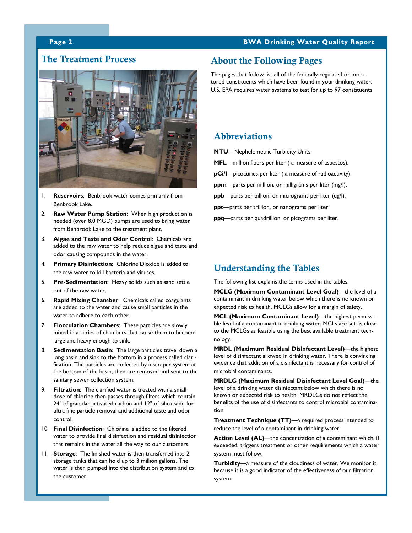#### **Page 2 BWA Drinking Water Quality Report**

#### The Treatment Process



- 1. **Reservoirs**: Benbrook water comes primarily from Benbrook Lake.
- 2. **Raw Water Pump Station**: When high production is needed (over 8.0 MGD) pumps are used to bring water from Benbrook Lake to the treatment plant.
- 3. **Algae and Taste and Odor Control**: Chemicals are added to the raw water to help reduce algae and taste and odor causing compounds in the water.
- 4. **Primary Disinfection**: Chlorine Dioxide is added to the raw water to kill bacteria and viruses.
- 5. **Pre-Sedimentation**: Heavy solids such as sand settle out of the raw water.
- 6. **Rapid Mixing Chamber**: Chemicals called coagulants are added to the water and cause small particles in the water to adhere to each other
- 7. **Flocculation Chambers**: These particles are slowly mixed in a series of chambers that cause them to become large and heavy enough to sink.
- 8. **Sedimentation Basin**: The large particles travel down a long basin and sink to the bottom in a process called clarification. The particles are collected by a scraper system at the bottom of the basin, then are removed and sent to the sanitary sewer collection system.
- 9. **Filtration**: The clarified water is treated with a small dose of chlorine then passes through filters which contain 24" of granular activated carbon and 12" of silica sand for ultra fine particle removal and additional taste and odor control.
- 10. **Final Disinfection**: Chlorine is added to the filtered water to provide final disinfection and residual disinfection that remains in the water all the way to our customers.
- 11. **Storage**: The finished water is then transferred into 2 storage tanks that can hold up to 3 million gallons. The water is then pumped into the distribution system and to the customer.

#### About the Following Pages

The pages that follow list all of the federally regulated or monitored constituents which have been found in your drinking water. U.S. EPA requires water systems to test for up to 97 constituents

#### Abbreviations

**NTU**—Nephelometric Turbidity Units.

- **MFL**—million fibers per liter ( a measure of asbestos).
- **pCi/l**—picocuries per liter ( a measure of radioactivity).
- **ppm**—parts per million, or milligrams per liter (mg/l).
- **ppb**—parts per billion, or micrograms per liter (ug/l).
- **ppt**—parts per trillion, or nanograms per liter.
- **ppq**—parts per quadrillion, or picograms per liter.

#### Understanding the Tables

The following list explains the terms used in the tables:

**MCLG (Maximum Contaminant Level Goal)**—the level of a contaminant in drinking water below which there is no known or expected risk to health. MCLGs allow for a margin of safety.

**MCL (Maximum Contaminant Level)**—the highest permissible level of a contaminant in drinking water. MCLs are set as close to the MCLGs as feasible using the best available treatment technology.

**MRDL (Maximum Residual Disinfectant Level)**—the highest level of disinfectant allowed in drinking water. There is convincing evidence that addition of a disinfectant is necessary for control of microbial contaminants.

**MRDLG (Maximum Residual Disinfectant Level Goal)**—the level of a drinking water disinfectant below which there is no known or expected risk to health. MRDLGs do not reflect the benefits of the use of disinfectants to control microbial contamination.

**Treatment Technique (TT)**—a required process intended to reduce the level of a contaminant in drinking water.

**Action Level (AL)**—the concentration of a contaminant which, if exceeded, triggers treatment or other requirements which a water system must follow.

**Turbidity**—a measure of the cloudiness of water. We monitor it because it is a good indicator of the effectiveness of our filtration system.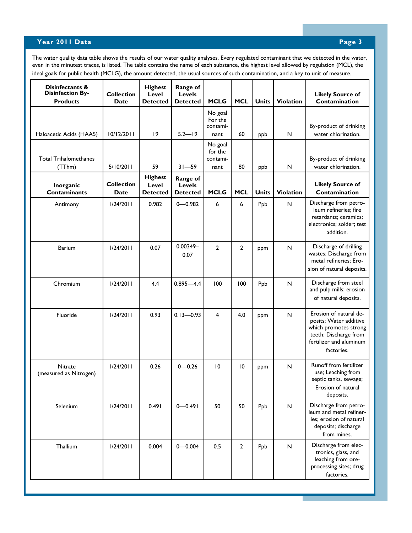#### **Year 2011 Data** Page 3 **Page 3**

The water quality data table shows the results of our water quality analyses. Every regulated contaminant that we detected in the water, even in the minutest traces, is listed. The table contains the name of each substance, the highest level allowed by regulation (MCL), the ideal goals for public health (MCLG), the amount detected, the usual sources of such contamination, and a key to unit of measure.

| Disinfectants &<br><b>Disinfection By-</b><br><b>Products</b> | <b>Collection</b><br>Date        | <b>Highest</b><br>Level<br><b>Detected</b> | Range of<br><b>Levels</b><br><b>Detected</b> | <b>MCLG</b>                            | <b>MCL</b>     | <b>Units</b> | Violation        | <b>Likely Source of</b><br>Contamination                                                                                                    |
|---------------------------------------------------------------|----------------------------------|--------------------------------------------|----------------------------------------------|----------------------------------------|----------------|--------------|------------------|---------------------------------------------------------------------------------------------------------------------------------------------|
|                                                               |                                  |                                            |                                              | No goal<br>For the<br>contami-         |                |              |                  | By-product of drinking                                                                                                                      |
| Haloacetic Acids (HAA5)                                       | 10/12/2011                       | 9                                          | $5.2 - 19$                                   | nant                                   | 60             | ppb          | N                | water chlorination.                                                                                                                         |
| <b>Total Trihalomethanes</b><br>(TThm)                        | 5/10/2011                        | 59                                         | $31 - 59$                                    | No goal<br>for the<br>contami-<br>nant | 80             | ppb          | N                | By-product of drinking<br>water chlorination.                                                                                               |
| Inorganic<br><b>Contaminants</b>                              | <b>Collection</b><br><b>Date</b> | <b>Highest</b><br>Level<br><b>Detected</b> | Range of<br>Levels<br><b>Detected</b>        | <b>MCLG</b>                            | <b>MCL</b>     | <b>Units</b> | <b>Violation</b> | <b>Likely Source of</b><br>Contamination                                                                                                    |
| Antimony                                                      | 1/24/2011                        | 0.982                                      | $0 - 0.982$                                  | 6                                      | 6              | Ppb          | N                | Discharge from petro-<br>leum refineries; fire<br>retardants; ceramics;<br>electronics; solder; test<br>addition.                           |
| <b>Barium</b>                                                 | 1/24/2011                        | 0.07                                       | $0.00349 -$<br>0.07                          | $\overline{2}$                         | $\overline{2}$ | ppm          | N                | Discharge of drilling<br>wastes; Discharge from<br>metal refineries; Ero-<br>sion of natural deposits.                                      |
| Chromium                                                      | 1/24/2011                        | 4.4                                        | $0.895 - 4.4$                                | 100                                    | 100            | Ppb          | $\mathsf{N}$     | Discharge from steel<br>and pulp mills; erosion<br>of natural deposits.                                                                     |
| Fluoride                                                      | 1/24/2011                        | 0.93                                       | $0.13 - 0.93$                                | 4                                      | 4.0            | ppm          | $\mathsf{N}$     | Erosion of natural de-<br>posits; Water additive<br>which promotes strong<br>teeth; Discharge from<br>fertilizer and aluminum<br>factories. |
| Nitrate<br>(measured as Nitrogen)                             | 1/24/2011                        | 0.26                                       | $0 - 0.26$                                   | 10                                     | 10             | ppm          | N                | Runoff from fertilizer<br>use; Leaching from<br>septic tanks, sewage;<br>Erosion of natural<br>deposits.                                    |
| Selenium                                                      | 1/24/2011                        | 0.491                                      | $0 - 0.491$                                  | 50                                     | 50             | Ppb          | ${\sf N}$        | Discharge from petro-<br>leum and metal refiner-<br>ies; erosion of natural<br>deposits; discharge<br>from mines.                           |
| Thallium                                                      | 1/24/2011                        | 0.004                                      | $0 - 0.004$                                  | 0.5                                    | $\mathbf{2}$   | Ppb          | ${\sf N}$        | Discharge from elec-<br>tronics, glass, and<br>leaching from ore-<br>processing sites; drug<br>factories.                                   |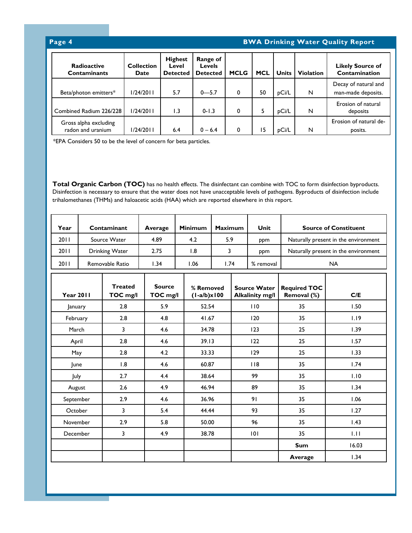#### **Page 4 BWA Drinking Water Quality Report**

| <b>Radioactive</b><br><b>Contaminants</b>  | <b>Collection</b><br><b>Date</b> | <b>Highest</b><br>Level<br><b>Detected</b> | Range of<br><b>Levels</b><br><b>Detected</b> | <b>MCLG</b> | <b>MCL</b> | <b>Units</b> | <b>Violation</b> | <b>Likely Source of</b><br>Contamination   |
|--------------------------------------------|----------------------------------|--------------------------------------------|----------------------------------------------|-------------|------------|--------------|------------------|--------------------------------------------|
| Beta/photon emitters*                      | 1/24/2011                        | 5.7                                        | $0 - 5.7$                                    | 0           | 50         | pCi/L        | N                | Decay of natural and<br>man-made deposits. |
| Combined Radium 226/228                    | 1/24/2011                        | 1.3                                        | $0 - 1.3$                                    | 0           | 5          | pCi/L        | N                | Erosion of natural<br>deposits             |
| Gross alpha excluding<br>radon and uranium | 1/24/2011                        | 6.4                                        | $0 - 6.4$                                    |             | 15         | pCi/L        | N                | Erosion of natural de-<br>posits.          |

\*EPA Considers 50 to be the level of concern for beta particles.

**Total Organic Carbon (TOC)** has no health effects. The disinfectant can combine with TOC to form disinfection byproducts. Disinfection is necessary to ensure that the water does not have unacceptable levels of pathogens. Byproducts of disinfection include trihalomethanes (THMs) and haloacetic acids (HAA) which are reported elsewhere in this report.

| Year                                           |                        | Contaminant               | Average                    | <b>Minimum</b> | <b>Maximum</b>                         |                        | Unit                                 |                                      | <b>Source of Constituent</b> |
|------------------------------------------------|------------------------|---------------------------|----------------------------|----------------|----------------------------------------|------------------------|--------------------------------------|--------------------------------------|------------------------------|
| 2011                                           | Source Water           |                           | 4.89                       | 4.2            | 5.9                                    | ppm                    |                                      | Naturally present in the environment |                              |
| 2011<br><b>Drinking Water</b>                  |                        | 2.75                      | 1.8                        |                | $\overline{3}$<br>ppm                  |                        | Naturally present in the environment |                                      |                              |
| Removable Ratio<br>2011                        |                        | 1.34                      | 1.06                       | 1.74           |                                        | % removal<br><b>NA</b> |                                      |                                      |                              |
| <b>Treated</b><br><b>Year 2011</b><br>TOC mg/l |                        | <b>Source</b><br>TOC mg/l | % Removed<br>$(l-a/b)x100$ |                | <b>Source Water</b><br>Alkalinity mg/l |                        | <b>Required TOC</b><br>Removal (%)   | C/E                                  |                              |
| January                                        |                        | 2.8                       | 5.9                        | 52.54          |                                        | 110                    |                                      | 35                                   | 1.50                         |
|                                                | 2.8<br>February        |                           | 4.8                        | 41.67          |                                        | 120                    |                                      | 35                                   | 1.19                         |
|                                                | 3<br>March             |                           | 4.6                        | 34.78          |                                        | 123                    |                                      | 25                                   | 1.39                         |
|                                                | 2.8<br>April           |                           | 4.6                        | 39.13          |                                        | 122                    |                                      | 25                                   | 1.57                         |
| 2.8<br>May                                     |                        | 4.2                       | 33.33                      |                |                                        | 129                    | 25                                   | 1.33                                 |                              |
| 1.8<br>June                                    |                        | 4.6                       | 60.87                      |                |                                        | 118                    | 35                                   | 1.74                                 |                              |
| July                                           |                        | 2.7                       | 4.4                        | 38.64          |                                        |                        | 99                                   | 35                                   | 1.10                         |
| August                                         |                        | 2.6                       | 4.9                        | 46.94          |                                        |                        | 89                                   | 35                                   | 1.34                         |
| September                                      |                        | 2.9                       | 4.6                        | 36.96          |                                        |                        | 91                                   | 35                                   | 1.06                         |
|                                                | 3<br>October<br>5.4    |                           | 44.44                      |                | 93                                     |                        | 35                                   | 1.27                                 |                              |
|                                                | 2.9<br>5.8<br>November |                           |                            | 50.00          |                                        | 96                     | 35                                   | 1.43                                 |                              |
| December                                       |                        | 3                         | 4.9                        | 38.78          |                                        | 101                    |                                      | 35                                   | 1.11                         |
|                                                |                        |                           |                            |                |                                        |                        |                                      | <b>Sum</b>                           | 16.03                        |
|                                                |                        |                           |                            |                |                                        |                        |                                      | Average                              | 1.34                         |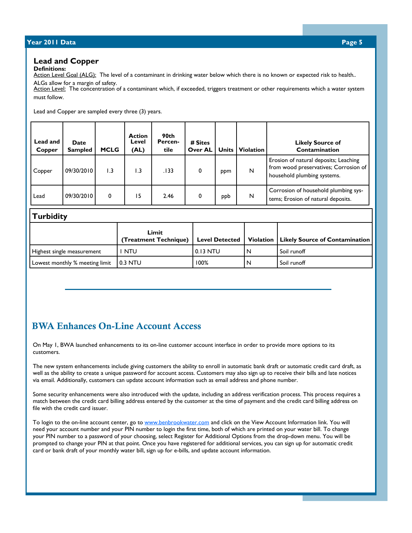#### **Year 2010 Data Year 2011 Data Page 5 Page 5**

#### **Lead and Copper**

**Definitions:** 

Action Level Goal (ALG): The level of a contaminant in drinking water below which there is no known or expected risk to health.. ALGs allow for a margin of safety.

Action Level: The concentration of a contaminant which, if exceeded, triggers treatment or other requirements which a water system must follow.

Lead and Copper are sampled every three (3) years.

| Lead and<br>Copper | <b>Date</b><br><b>Sampled</b> | <b>MCLG</b> | <b>Action</b><br>Level<br>(AL) | 90th<br>Percen-<br>tile | # Sites<br><b>Over AL</b> | <b>Units</b> | <b>Violation</b> | <b>Likely Source of</b><br>Contamination                                                                      |
|--------------------|-------------------------------|-------------|--------------------------------|-------------------------|---------------------------|--------------|------------------|---------------------------------------------------------------------------------------------------------------|
| Copper             | 09/30/2010                    | 1.3         | $\overline{1.3}$               | .133                    | 0                         | ppm          | N                | Erosion of natural deposits; Leaching<br>from wood preservatives; Corrosion of<br>household plumbing systems. |
| Lead               | 09/30/2010                    | 0           | 15                             | 2.46                    | 0                         | ppb          | N                | Corrosion of household plumbing sys-<br>tems; Erosion of natural deposits.                                    |

#### **Turbidity**

|                                | Limit<br>(Treatment Technique) | <b>Level Detected</b> | Violation   Likely Source of Contamination |
|--------------------------------|--------------------------------|-----------------------|--------------------------------------------|
| Highest single measurement     | <b>NTU</b>                     | 0.13 NTU              | Soil runoff                                |
| Lowest monthly % meeting limit | 10.3 NTU                       | 100%                  | Soil runoff                                |

#### BWA Enhances On-Line Account Access

On May 1, BWA launched enhancements to its on-line customer account interface in order to provide more options to its customers.

The new system enhancements include giving customers the ability to enroll in automatic bank draft or automatic credit card draft, as well as the ability to create a unique password for account access. Customers may also sign up to receive their bills and late notices via email. Additionally, customers can update account information such as email address and phone number.

Some security enhancements were also introduced with the update, including an address verification process. This process requires a match between the credit card billing address entered by the customer at the time of payment and the credit card billing address on file with the credit card issuer.

To login to the on-line account center, go to www.benbrookwater.com and click on the View Account Information link. You will need your account number and your PIN number to login the first time, both of which are printed on your water bill. To change your PIN number to a password of your choosing, select Register for Additional Options from the drop-down menu. You will be prompted to change your PIN at that point. Once you have registered for additional services, you can sign up for automatic credit card or bank draft of your monthly water bill, sign up for e-bills, and update account information.